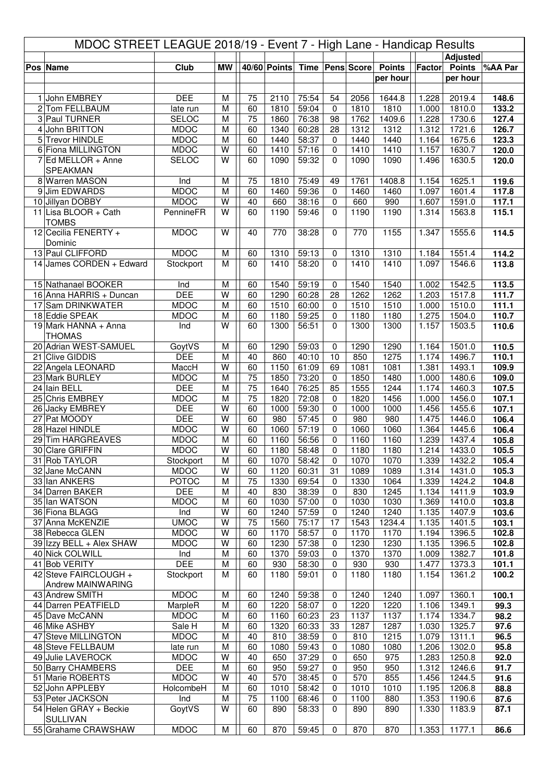| MDOC STREET LEAGUE 2018/19 - Event 7 - High Lane - Handicap Results |                                             |                             |                         |                       |              |                |                            |                     |                           |                |                           |                |
|---------------------------------------------------------------------|---------------------------------------------|-----------------------------|-------------------------|-----------------------|--------------|----------------|----------------------------|---------------------|---------------------------|----------------|---------------------------|----------------|
|                                                                     |                                             |                             |                         |                       |              |                |                            |                     |                           |                | <b>Adjusted</b>           |                |
|                                                                     | Pos Name                                    | Club                        | <b>MW</b>               |                       | 40/60 Points |                |                            | Time   Pens   Score | <b>Points</b><br>per hour | Factor         | <b>Points</b><br>per hour | <b>MAA</b> Par |
|                                                                     |                                             |                             |                         |                       |              |                |                            |                     |                           |                |                           |                |
|                                                                     | 1 John EMBREY                               | <b>DEE</b>                  | M                       | 75                    | 2110         | 75:54          | 54                         | 2056                | 1644.8                    | 1.228          | 2019.4                    | 148.6          |
|                                                                     | 2 Tom FELLBAUM                              | late run                    | M                       | 60                    | 1810         | 59:04          | $\mathbf 0$                | 1810                | 1810                      | 1.000          | 1810.0                    | 133.2          |
|                                                                     | 3 Paul TURNER                               | <b>SELOC</b>                | M                       | 75                    | 1860         | 76:38          | 98                         | 1762                | 1409.6                    | 1.228          | 1730.6                    | 127.4          |
| 4                                                                   | John BRITTON<br>5 Trevor HINDLE             | <b>MDOC</b><br><b>MDOC</b>  | M<br>M                  | 60<br>60              | 1340<br>1440 | 60:28<br>58:37 | 28<br>$\mathbf 0$          | 1312<br>1440        | 1312<br>1440              | 1.312<br>1.164 | 1721.6<br>1675.6          | 126.7<br>123.3 |
|                                                                     | 6 Fiona MILLINGTON                          | <b>MDOC</b>                 | W                       | 60                    | 1410         | 57:16          | $\mathbf 0$                | 1410                | 1410                      | 1.157          | 1630.7                    | 120.0          |
|                                                                     | $7$ Ed MELLOR + Anne                        | SELOC                       | W                       | 60                    | 1090         | 59:32          | $\Omega$                   | 1090                | 1090                      | 1.496          | 1630.5                    | 120.0          |
|                                                                     | SPEAKMAN                                    |                             |                         |                       |              |                |                            |                     |                           |                |                           |                |
|                                                                     | 8 Warren MASON                              | Ind                         | M                       | 75                    | 1810         | 75:49          | 49                         | 1761                | 1408.8                    | 1.154          | 1625.1                    | 119.6          |
|                                                                     | 9 Jim EDWARDS<br>10 Jillyan DOBBY           | <b>MDOC</b><br><b>MDOC</b>  | M<br>W                  | 60<br>40              | 1460<br>660  | 59:36<br>38:16 | $\Omega$                   | 1460<br>660         | 1460<br>990               | 1.097<br>1.607 | 1601.4<br>1591.0          | 117.8          |
|                                                                     | 11 Lisa BLOOR + Cath                        | PennineFR                   | W                       | 60                    | 1190         | 59:46          | 0<br>$\Omega$              | 1190                | 1190                      | 1.314          | 1563.8                    | 117.1<br>115.1 |
|                                                                     | <b>TOMBS</b>                                |                             |                         |                       |              |                |                            |                     |                           |                |                           |                |
|                                                                     | 12 Cecilia FENERTY +                        | <b>MDOC</b>                 | W                       | 40                    | 770          | 38:28          | $\mathbf 0$                | 770                 | 1155                      | 1.347          | 1555.6                    | 114.5          |
|                                                                     | Dominic                                     |                             |                         |                       |              |                |                            |                     |                           |                |                           |                |
|                                                                     | 13 Paul CLIFFORD                            | <b>MDOC</b>                 | M                       | 60                    | 1310         | 59:13          | 0                          | 1310                | 1310                      | 1.184          | 1551.4                    | 114.2          |
|                                                                     | 14 James CORDEN + Edward                    | Stockport                   | M                       | 60                    | 1410         | 58:20          | $\Omega$                   | 1410                | 1410                      | 1.097          | 1546.6                    | 113.8          |
|                                                                     | 15 Nathanael BOOKER                         | Ind                         | M                       | 60                    | 1540         | 59:19          | $\mathbf 0$                | 1540                | 1540                      | 1.002          | 1542.5                    | 113.5          |
|                                                                     | 16 Anna HARRIS + Duncan                     | <b>DEE</b>                  | W                       | 60                    | 1290         | 60:28          | 28                         | 1262                | 1262                      | 1.203          | 1517.8                    | 111.7          |
|                                                                     | 17 Sam DRINKWATER                           | <b>MDOC</b>                 | M                       | 60                    | 1510         | 60:00          | $\mathbf 0$                | 1510                | 1510                      | 1.000          | 1510.0                    | 111.1          |
|                                                                     | 18 Eddie SPEAK                              | <b>MDOC</b>                 | M                       | 60                    | 1180         | 59:25          | $\mathbf 0$                | 1180                | 1180                      | 1.275          | 1504.0                    | 110.7          |
|                                                                     | 19 Mark HANNA + Anna<br><b>THOMAS</b>       | Ind                         | W                       | 60                    | 1300         | 56:51          | $\Omega$                   | 1300                | 1300                      | 1.157          | 1503.5                    | 110.6          |
|                                                                     | 20 Adrian WEST-SAMUEL                       | GoytVS                      | M                       | 60                    | 1290         | 59:03          | 0                          | 1290                | 1290                      | 1.164          | 1501.0                    | 110.5          |
|                                                                     | 21 Clive GIDDIS                             | <b>DEE</b>                  | M                       | 40                    | 860          | 40:10          | 10                         | 850                 | 1275                      | 1.174          | 1496.7                    | 110.1          |
|                                                                     | 22 Angela LEONARD                           | MaccH                       | W                       | 60                    | 1150         | 61:09          | 69                         | 1081                | 1081                      | 1.381          | 1493.1                    | 109.9          |
|                                                                     | 23 Mark BURLEY                              | <b>MDOC</b>                 | M                       | 75                    | 1850         | 73:20          | $\mathbf 0$                | 1850                | 1480                      | 1.000          | 1480.6                    | 109.0          |
|                                                                     | 24 Iain BELL                                | <b>DEE</b>                  | M                       | 75                    | 1640         | 76:25          | 85                         | 1555                | 1244                      | 1.174          | 1460.3                    | 107.5          |
|                                                                     | 25 Chris EMBREY<br>26 Jacky EMBREY          | <b>MDOC</b><br><b>DEE</b>   | M<br>W                  | $\overline{75}$<br>60 | 1820<br>1000 | 72:08<br>59:30 | $\mathbf 0$<br>$\mathbf 0$ | 1820<br>1000        | 1456<br>1000              | 1.000<br>1.456 | 1456.0<br>1455.6          | 107.1<br>107.1 |
|                                                                     | 27 Pat MOODY                                | <b>DEE</b>                  | W                       | 60                    | 980          | 57:45          | $\mathbf 0$                | 980                 | 980                       | 1.475          | 1446.0                    | 106.4          |
|                                                                     | 28 Hazel HINDLE                             | <b>MDOC</b>                 | W                       | 60                    | 1060         | 57:19          | $\Omega$                   | 1060                | 1060                      | 1.364          | 1445.6                    | 106.4          |
|                                                                     | 29 Tim HARGREAVES                           | <b>MDOC</b>                 | M                       | 60                    | 1160         | 56:56          | 0                          | 1160                | 1160                      | 1.239          | 1437.4                    | 105.8          |
|                                                                     | 30 Clare GRIFFIN                            | <b>MDOC</b>                 | $\overline{\mathsf{W}}$ | 60                    | 1180         | 58:48          | $\pmb{0}$                  | 1180                | 1180                      | 1.214          | 1433.0                    | 105.5          |
|                                                                     | 31 Rob TAYLOR                               | Stockport                   | M                       | 60                    | 1070         | 58:42          | 0                          | 1070                | 1070                      | 1.339          | 1432.2                    | 105.4          |
|                                                                     | 32 Jane McCANN<br>33 Ian ANKERS             | <b>MDOC</b><br><b>POTOC</b> | W<br>M                  | 60<br>75              | 1120<br>1330 | 60:31<br>69:54 | 31<br>0                    | 1089<br>1330        | 1089<br>1064              | 1.314<br>1.339 | 1431.0<br>1424.2          | 105.3<br>104.8 |
|                                                                     | 34 Darren BAKER                             | <b>DEE</b>                  | M                       | 40                    | 830          | 38:39          | 0                          | 830                 | 1245                      | 1.134          | 1411.9                    | 103.9          |
|                                                                     | 35 Ian WATSON                               | <b>MDOC</b>                 | M                       | 60                    | 1030         | 57:00          | 0                          | 1030                | 1030                      | 1.369          | 1410.0                    | 103.8          |
|                                                                     | 36 Fiona BLAGG                              | Ind                         | W                       | 60                    | 1240         | 57:59          | 0                          | 1240                | 1240                      | 1.135          | 1407.9                    | 103.6          |
|                                                                     | 37 Anna McKENZIE                            | <b>UMOC</b>                 | W                       | 75                    | 1560         | 75:17          | 17                         | 1543                | 1234.4                    | 1.135          | 1401.5                    | 103.1          |
|                                                                     | 38 Rebecca GLEN<br>39 Izzy BELL + Alex SHAW | <b>MDOC</b><br><b>MDOC</b>  | W<br>W                  | 60<br>60              | 1170<br>1230 | 58:57<br>57:38 | 0<br>0                     | 1170<br>1230        | 1170<br>1230              | 1.194<br>1.135 | 1396.5<br>1396.5          | 102.8<br>102.8 |
|                                                                     | 40 Nick COLWILL                             | Ind                         | M                       | 60                    | 1370         | 59:03          | 0                          | 1370                | 1370                      | 1.009          | 1382.7                    | 101.8          |
|                                                                     | 41 Bob VERITY                               | <b>DEE</b>                  | M                       | 60                    | 930          | 58:30          | 0                          | 930                 | 930                       | 1.477          | 1373.3                    | 101.1          |
|                                                                     | 42 Steve FAIRCLOUGH +                       | Stockport                   | M                       | 60                    | 1180         | 59:01          | 0                          | 1180                | 1180                      | 1.154          | 1361.2                    | 100.2          |
|                                                                     | Andrew MAINWARING                           |                             |                         |                       |              |                |                            |                     |                           |                |                           |                |
|                                                                     | 43 Andrew SMITH                             | <b>MDOC</b>                 | M                       | 60                    | 1240         | 59:38          | 0                          | 1240                | 1240                      | 1.097          | 1360.1                    | 100.1          |
|                                                                     | 44 Darren PEATFIELD<br>45 Dave McCANN       | MarpleR<br><b>MDOC</b>      | M<br>M                  | 60<br>60              | 1220<br>1160 | 58:07<br>60:23 | 0<br>23                    | 1220<br>1137        | 1220<br>1137              | 1.106<br>1.174 | 1349.1<br>1334.7          | 99.3<br>98.2   |
|                                                                     | 46 Mike ASHBY                               | Sale H                      | M                       | 60                    | 1320         | 60:33          | 33                         | 1287                | 1287                      | 1.030          | 1325.7                    | 97.6           |
|                                                                     | 47 Steve MILLINGTON                         | <b>MDOC</b>                 | M                       | 40                    | 810          | 38:59          | 0                          | 810                 | 1215                      | 1.079          | 1311.1                    | 96.5           |
|                                                                     | 48 Steve FELLBAUM                           | late run                    | M                       | 60                    | 1080         | 59:43          | $\mathbf 0$                | 1080                | 1080                      | 1.206          | 1302.0                    | 95.8           |
|                                                                     | 49 Julie LAVEROCK                           | <b>MDOC</b>                 | W                       | 40                    | 650          | 37:29          | $\mathbf 0$                | 650                 | 975                       | 1.283          | 1250.8                    | 92.0           |
|                                                                     | 50 Barry CHAMBERS<br>51 Marie ROBERTS       | <b>DEE</b><br><b>MDOC</b>   | M<br>W                  | 60<br>40              | 950<br>570   | 59:27<br>38:45 | 0<br>0                     | 950<br>570          | 950<br>855                | 1.312<br>1.456 | 1246.6<br>1244.5          | 91.7           |
|                                                                     | 52 John APPLEBY                             | HolcombeH                   | M                       | 60                    | 1010         | 58:42          | 0                          | 1010                | 1010                      | 1.195          | 1206.8                    | 91.6<br>88.8   |
|                                                                     | 53 Peter JACKSON                            | Ind                         | M                       | 75                    | 1100         | 68:46          | 0                          | 1100                | 880                       | 1.353          | 1190.6                    | 87.6           |
|                                                                     | 54 Helen GRAY + Beckie                      | GoytVS                      | W                       | 60                    | 890          | 58:33          | 0                          | 890                 | 890                       | 1.330          | 1183.9                    | 87.1           |
|                                                                     | <b>SULLIVAN</b>                             |                             |                         |                       |              |                |                            |                     |                           |                |                           |                |
|                                                                     | 55 Grahame CRAWSHAW                         | <b>MDOC</b>                 | M                       | 60                    | 870          | 59:45          | 0                          | 870                 | 870                       | 1.353          | 1177.1                    | 86.6           |